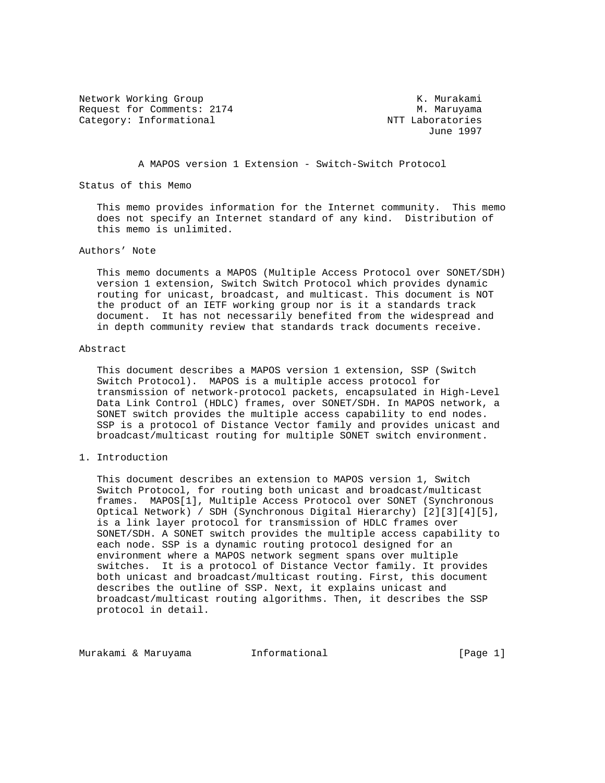Network Working Group and Month Communications of the Murakami Request for Comments: 2174 M. Maruyama Category: Informational  $NTT$  Laboratories

June 1997

A MAPOS version 1 Extension - Switch-Switch Protocol

Status of this Memo

 This memo provides information for the Internet community. This memo does not specify an Internet standard of any kind. Distribution of this memo is unlimited.

### Authors' Note

 This memo documents a MAPOS (Multiple Access Protocol over SONET/SDH) version 1 extension, Switch Switch Protocol which provides dynamic routing for unicast, broadcast, and multicast. This document is NOT the product of an IETF working group nor is it a standards track document. It has not necessarily benefited from the widespread and in depth community review that standards track documents receive.

#### Abstract

 This document describes a MAPOS version 1 extension, SSP (Switch Switch Protocol). MAPOS is a multiple access protocol for transmission of network-protocol packets, encapsulated in High-Level Data Link Control (HDLC) frames, over SONET/SDH. In MAPOS network, a SONET switch provides the multiple access capability to end nodes. SSP is a protocol of Distance Vector family and provides unicast and broadcast/multicast routing for multiple SONET switch environment.

# 1. Introduction

 This document describes an extension to MAPOS version 1, Switch Switch Protocol, for routing both unicast and broadcast/multicast frames. MAPOS[1], Multiple Access Protocol over SONET (Synchronous Optical Network) / SDH (Synchronous Digital Hierarchy) [2][3][4][5], is a link layer protocol for transmission of HDLC frames over SONET/SDH. A SONET switch provides the multiple access capability to each node. SSP is a dynamic routing protocol designed for an environment where a MAPOS network segment spans over multiple switches. It is a protocol of Distance Vector family. It provides both unicast and broadcast/multicast routing. First, this document describes the outline of SSP. Next, it explains unicast and broadcast/multicast routing algorithms. Then, it describes the SSP protocol in detail.

Murakami & Maruyama Informational [Page 1]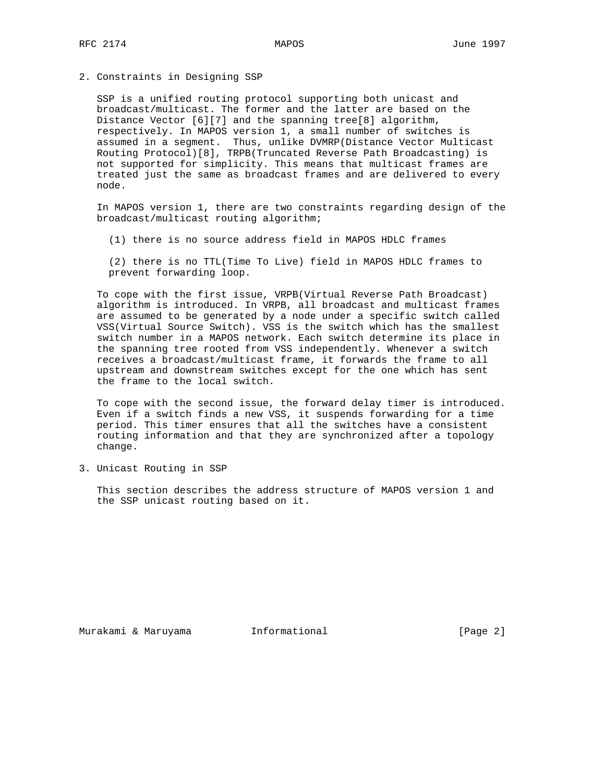2. Constraints in Designing SSP

 SSP is a unified routing protocol supporting both unicast and broadcast/multicast. The former and the latter are based on the Distance Vector [6][7] and the spanning tree[8] algorithm, respectively. In MAPOS version 1, a small number of switches is assumed in a segment. Thus, unlike DVMRP(Distance Vector Multicast Routing Protocol)[8], TRPB(Truncated Reverse Path Broadcasting) is not supported for simplicity. This means that multicast frames are treated just the same as broadcast frames and are delivered to every node.

 In MAPOS version 1, there are two constraints regarding design of the broadcast/multicast routing algorithm;

(1) there is no source address field in MAPOS HDLC frames

 (2) there is no TTL(Time To Live) field in MAPOS HDLC frames to prevent forwarding loop.

 To cope with the first issue, VRPB(Virtual Reverse Path Broadcast) algorithm is introduced. In VRPB, all broadcast and multicast frames are assumed to be generated by a node under a specific switch called VSS(Virtual Source Switch). VSS is the switch which has the smallest switch number in a MAPOS network. Each switch determine its place in the spanning tree rooted from VSS independently. Whenever a switch receives a broadcast/multicast frame, it forwards the frame to all upstream and downstream switches except for the one which has sent the frame to the local switch.

 To cope with the second issue, the forward delay timer is introduced. Even if a switch finds a new VSS, it suspends forwarding for a time period. This timer ensures that all the switches have a consistent routing information and that they are synchronized after a topology change.

3. Unicast Routing in SSP

 This section describes the address structure of MAPOS version 1 and the SSP unicast routing based on it.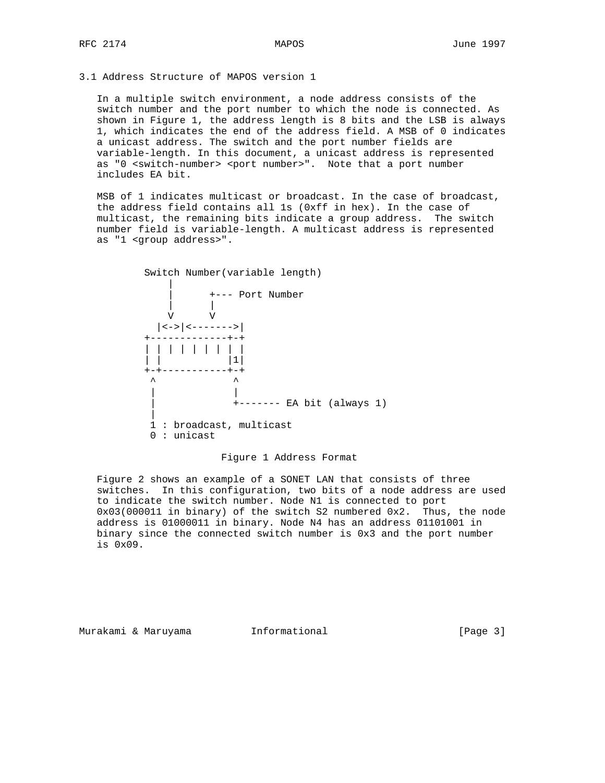3.1 Address Structure of MAPOS version 1

 In a multiple switch environment, a node address consists of the switch number and the port number to which the node is connected. As shown in Figure 1, the address length is 8 bits and the LSB is always 1, which indicates the end of the address field. A MSB of 0 indicates a unicast address. The switch and the port number fields are variable-length. In this document, a unicast address is represented as "0 <switch-number> <port number>". Note that a port number includes EA bit.

 MSB of 1 indicates multicast or broadcast. In the case of broadcast, the address field contains all 1s (0xff in hex). In the case of multicast, the remaining bits indicate a group address. The switch number field is variable-length. A multicast address is represented as "1 <group address>".



Figure 1 Address Format

 Figure 2 shows an example of a SONET LAN that consists of three switches. In this configuration, two bits of a node address are used to indicate the switch number. Node N1 is connected to port 0x03(000011 in binary) of the switch S2 numbered 0x2. Thus, the node address is 01000011 in binary. Node N4 has an address 01101001 in binary since the connected switch number is 0x3 and the port number is 0x09.

Murakami & Maruyama  $I_n$  Informational informational [Page 3]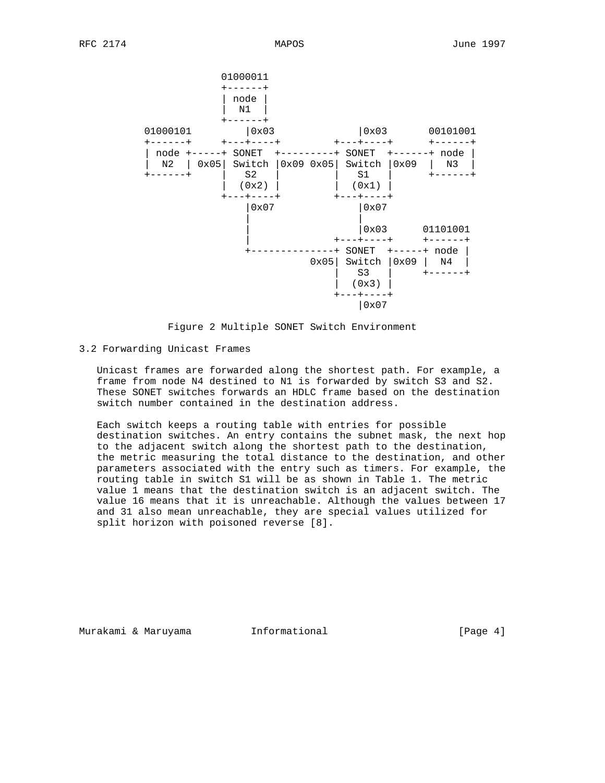

Figure 2 Multiple SONET Switch Environment

3.2 Forwarding Unicast Frames

 Unicast frames are forwarded along the shortest path. For example, a frame from node N4 destined to N1 is forwarded by switch S3 and S2. These SONET switches forwards an HDLC frame based on the destination switch number contained in the destination address.

 Each switch keeps a routing table with entries for possible destination switches. An entry contains the subnet mask, the next hop to the adjacent switch along the shortest path to the destination, the metric measuring the total distance to the destination, and other parameters associated with the entry such as timers. For example, the routing table in switch S1 will be as shown in Table 1. The metric value 1 means that the destination switch is an adjacent switch. The value 16 means that it is unreachable. Although the values between 17 and 31 also mean unreachable, they are special values utilized for split horizon with poisoned reverse [8].

Murakami & Maruyama  $I_n$  Informational  $[Page 4]$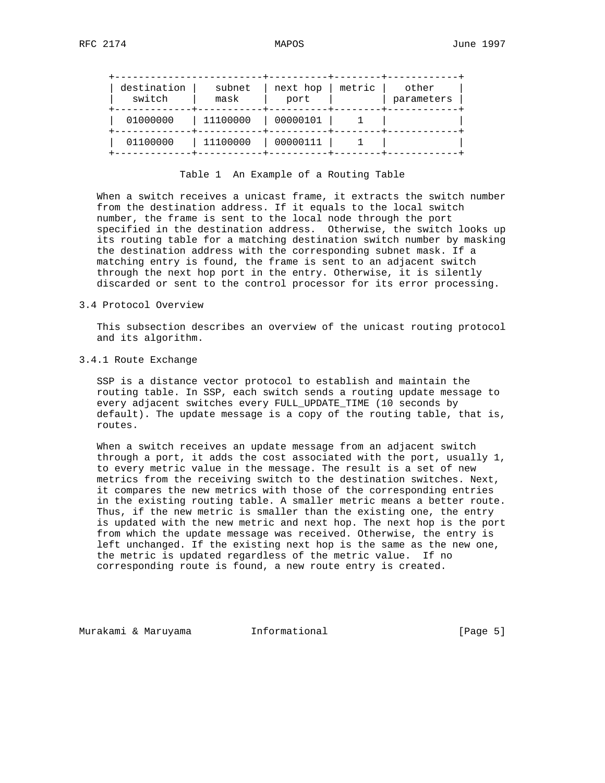| destination<br>switch | subnet<br>mask | next hop<br>port | metric | other<br>parameters |
|-----------------------|----------------|------------------|--------|---------------------|
| 01000000              | 11100000       | 00000101         |        |                     |
| 01100000              | 11100000       | 00000111         |        |                     |

Table 1 An Example of a Routing Table

 When a switch receives a unicast frame, it extracts the switch number from the destination address. If it equals to the local switch number, the frame is sent to the local node through the port specified in the destination address. Otherwise, the switch looks up its routing table for a matching destination switch number by masking the destination address with the corresponding subnet mask. If a matching entry is found, the frame is sent to an adjacent switch through the next hop port in the entry. Otherwise, it is silently discarded or sent to the control processor for its error processing.

## 3.4 Protocol Overview

 This subsection describes an overview of the unicast routing protocol and its algorithm.

#### 3.4.1 Route Exchange

 SSP is a distance vector protocol to establish and maintain the routing table. In SSP, each switch sends a routing update message to every adjacent switches every FULL\_UPDATE\_TIME (10 seconds by default). The update message is a copy of the routing table, that is, routes.

 When a switch receives an update message from an adjacent switch through a port, it adds the cost associated with the port, usually 1, to every metric value in the message. The result is a set of new metrics from the receiving switch to the destination switches. Next, it compares the new metrics with those of the corresponding entries in the existing routing table. A smaller metric means a better route. Thus, if the new metric is smaller than the existing one, the entry is updated with the new metric and next hop. The next hop is the port from which the update message was received. Otherwise, the entry is left unchanged. If the existing next hop is the same as the new one, the metric is updated regardless of the metric value. If no corresponding route is found, a new route entry is created.

Murakami & Maruyama  $I_n$  Informational  $[Page 5]$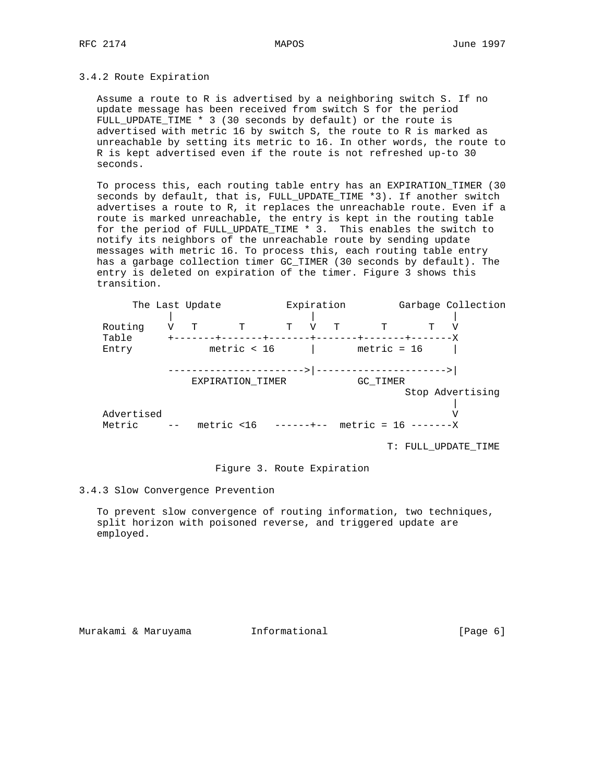### 3.4.2 Route Expiration

 Assume a route to R is advertised by a neighboring switch S. If no update message has been received from switch S for the period FULL\_UPDATE\_TIME \* 3 (30 seconds by default) or the route is advertised with metric 16 by switch S, the route to R is marked as unreachable by setting its metric to 16. In other words, the route to R is kept advertised even if the route is not refreshed up-to 30 seconds.

 To process this, each routing table entry has an EXPIRATION\_TIMER (30 seconds by default, that is, FULL\_UPDATE\_TIME \*3). If another switch advertises a route to R, it replaces the unreachable route. Even if a route is marked unreachable, the entry is kept in the routing table for the period of FULL\_UPDATE\_TIME \* 3. This enables the switch to notify its neighbors of the unreachable route by sending update messages with metric 16. To process this, each routing table entry has a garbage collection timer GC\_TIMER (30 seconds by default). The entry is deleted on expiration of the timer. Figure 3 shows this transition.

|            | The Last Update |                         |   | Expiration |   |               |                        | Garbage Collection |
|------------|-----------------|-------------------------|---|------------|---|---------------|------------------------|--------------------|
|            |                 |                         |   |            |   |               |                        |                    |
| Routing    | T               | T                       | т |            | T | ጥ             |                        |                    |
| Table      |                 |                         |   |            |   |               |                        |                    |
| Entry      |                 | metric $<$ 16           |   |            |   | $metric = 16$ |                        |                    |
|            |                 |                         |   |            |   |               |                        |                    |
|            |                 |                         |   | ---> ----  |   |               |                        |                    |
|            |                 | EXPIRATION TIMER        |   |            |   | GC TIMER      |                        |                    |
|            |                 |                         |   |            |   |               |                        | Stop Advertising   |
|            |                 |                         |   |            |   |               |                        |                    |
| Advertised |                 |                         |   |            |   |               |                        |                    |
| Metric     |                 | metric $<$ 16 ------+-- |   |            |   |               | metric = $16$ -------X |                    |
|            |                 |                         |   |            |   |               |                        |                    |

T: FULL\_UPDATE\_TIME

# Figure 3. Route Expiration

#### 3.4.3 Slow Convergence Prevention

 To prevent slow convergence of routing information, two techniques, split horizon with poisoned reverse, and triggered update are employed.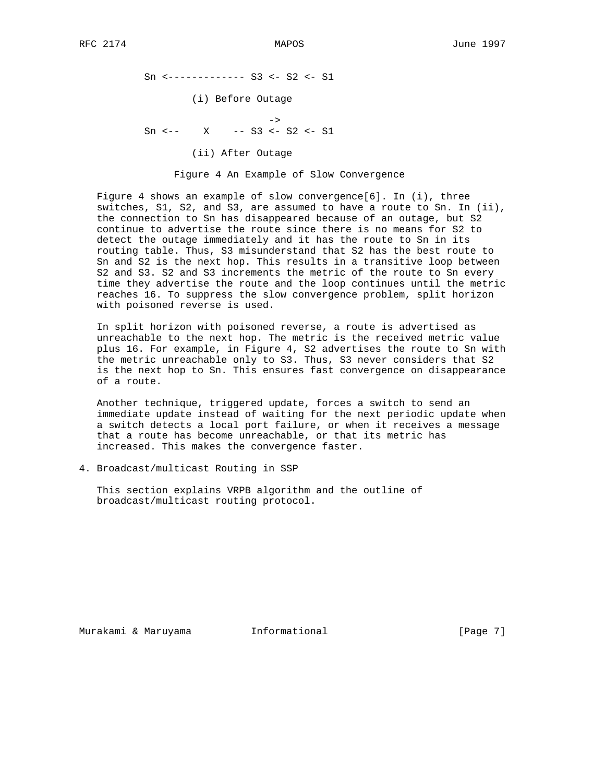Sn <------------- S3 <- S2 <- S1 (i) Before Outage ->  $Sn \leftarrow - X \leftarrow S3 \leftarrow S2 \leftarrow S1$ (ii) After Outage

Figure 4 An Example of Slow Convergence

Figure 4 shows an example of slow convergence[6]. In (i), three switches, S1, S2, and S3, are assumed to have a route to Sn. In (ii), the connection to Sn has disappeared because of an outage, but S2 continue to advertise the route since there is no means for S2 to detect the outage immediately and it has the route to Sn in its routing table. Thus, S3 misunderstand that S2 has the best route to Sn and S2 is the next hop. This results in a transitive loop between S2 and S3. S2 and S3 increments the metric of the route to Sn every time they advertise the route and the loop continues until the metric reaches 16. To suppress the slow convergence problem, split horizon with poisoned reverse is used.

 In split horizon with poisoned reverse, a route is advertised as unreachable to the next hop. The metric is the received metric value plus 16. For example, in Figure 4, S2 advertises the route to Sn with the metric unreachable only to S3. Thus, S3 never considers that S2 is the next hop to Sn. This ensures fast convergence on disappearance of a route.

 Another technique, triggered update, forces a switch to send an immediate update instead of waiting for the next periodic update when a switch detects a local port failure, or when it receives a message that a route has become unreachable, or that its metric has increased. This makes the convergence faster.

4. Broadcast/multicast Routing in SSP

 This section explains VRPB algorithm and the outline of broadcast/multicast routing protocol.

Murakami & Maruyama  $I_n$  Informational  $[Page 7]$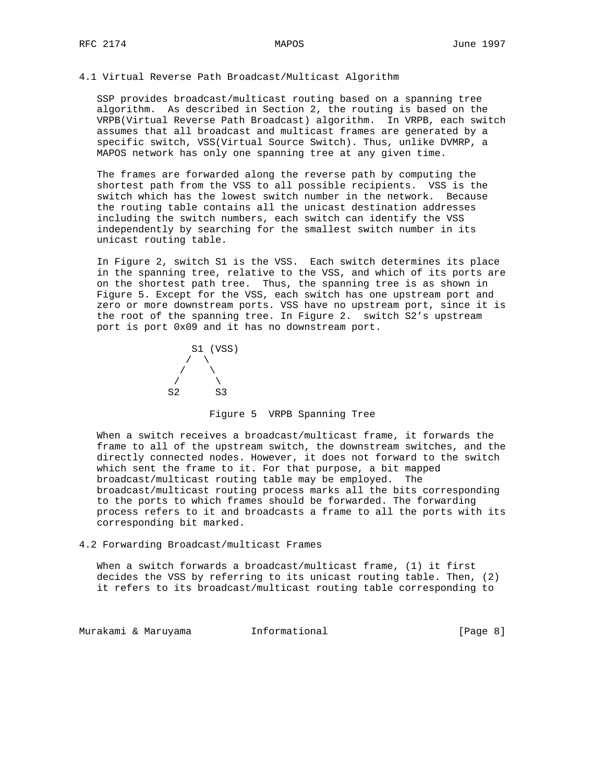### 4.1 Virtual Reverse Path Broadcast/Multicast Algorithm

 SSP provides broadcast/multicast routing based on a spanning tree algorithm. As described in Section 2, the routing is based on the VRPB(Virtual Reverse Path Broadcast) algorithm. In VRPB, each switch assumes that all broadcast and multicast frames are generated by a specific switch, VSS(Virtual Source Switch). Thus, unlike DVMRP, a MAPOS network has only one spanning tree at any given time.

 The frames are forwarded along the reverse path by computing the shortest path from the VSS to all possible recipients. VSS is the switch which has the lowest switch number in the network. Because the routing table contains all the unicast destination addresses including the switch numbers, each switch can identify the VSS independently by searching for the smallest switch number in its unicast routing table.

 In Figure 2, switch S1 is the VSS. Each switch determines its place in the spanning tree, relative to the VSS, and which of its ports are on the shortest path tree. Thus, the spanning tree is as shown in Figure 5. Except for the VSS, each switch has one upstream port and zero or more downstream ports. VSS have no upstream port, since it is the root of the spanning tree. In Figure 2. switch S2's upstream port is port 0x09 and it has no downstream port.



#### Figure 5 VRPB Spanning Tree

 When a switch receives a broadcast/multicast frame, it forwards the frame to all of the upstream switch, the downstream switches, and the directly connected nodes. However, it does not forward to the switch which sent the frame to it. For that purpose, a bit mapped broadcast/multicast routing table may be employed. The broadcast/multicast routing process marks all the bits corresponding to the ports to which frames should be forwarded. The forwarding process refers to it and broadcasts a frame to all the ports with its corresponding bit marked.

4.2 Forwarding Broadcast/multicast Frames

 When a switch forwards a broadcast/multicast frame, (1) it first decides the VSS by referring to its unicast routing table. Then, (2) it refers to its broadcast/multicast routing table corresponding to

Murakami & Maruyama  $I_n$ Informational informational [Page 8]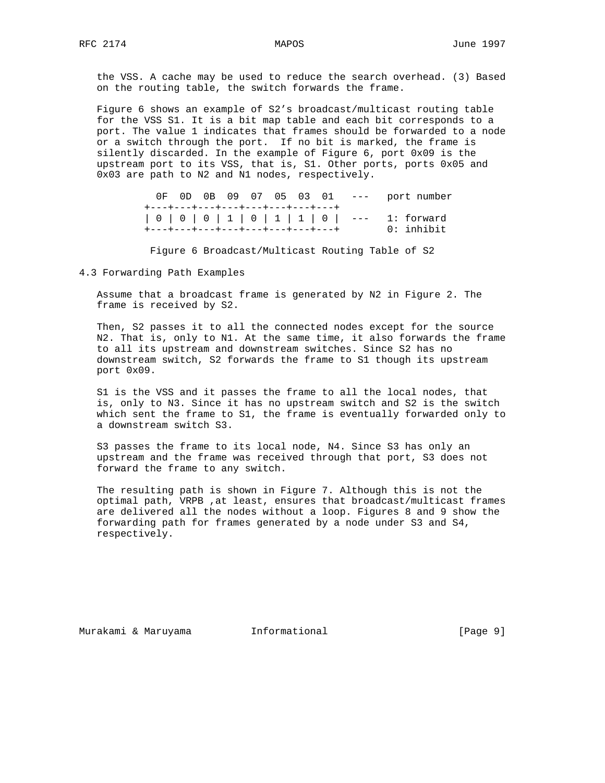the VSS. A cache may be used to reduce the search overhead. (3) Based on the routing table, the switch forwards the frame.

 Figure 6 shows an example of S2's broadcast/multicast routing table for the VSS S1. It is a bit map table and each bit corresponds to a port. The value 1 indicates that frames should be forwarded to a node or a switch through the port. If no bit is marked, the frame is silently discarded. In the example of Figure 6, port 0x09 is the upstream port to its VSS, that is, S1. Other ports, ports 0x05 and 0x03 are path to N2 and N1 nodes, respectively.

 0F 0D 0B 09 07 05 03 01 --- port number +---+---+---+---+---+---+---+---+ | 0 | 0 | 0 | 1 | 0 | 1 | 1 | 0 | --- 1: forward +---+---+---+---+---+---+---+---+ 0: inhibit

Figure 6 Broadcast/Multicast Routing Table of S2

4.3 Forwarding Path Examples

 Assume that a broadcast frame is generated by N2 in Figure 2. The frame is received by S2.

 Then, S2 passes it to all the connected nodes except for the source N2. That is, only to N1. At the same time, it also forwards the frame to all its upstream and downstream switches. Since S2 has no downstream switch, S2 forwards the frame to S1 though its upstream port 0x09.

 S1 is the VSS and it passes the frame to all the local nodes, that is, only to N3. Since it has no upstream switch and S2 is the switch which sent the frame to S1, the frame is eventually forwarded only to a downstream switch S3.

 S3 passes the frame to its local node, N4. Since S3 has only an upstream and the frame was received through that port, S3 does not forward the frame to any switch.

 The resulting path is shown in Figure 7. Although this is not the optimal path, VRPB ,at least, ensures that broadcast/multicast frames are delivered all the nodes without a loop. Figures 8 and 9 show the forwarding path for frames generated by a node under S3 and S4, respectively.

Murakami & Maruyama Informational [Page 9]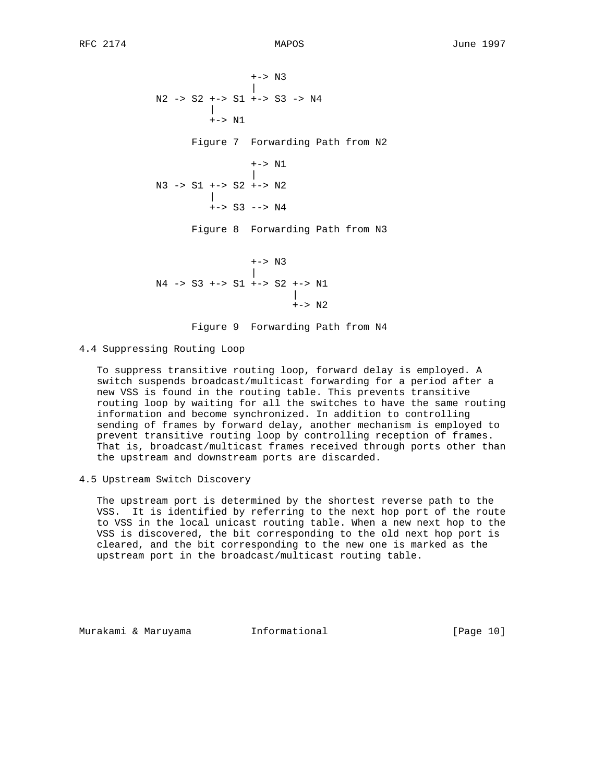+-> N3 | N2 -> S2 +-> S1 +-> S3 -> N4 | +-> N1 Figure 7 Forwarding Path from N2 +-> N1 | N3 -> S1 +-> S2 +-> N2 |  $+->$  S3  $-->$  N4 Figure 8 Forwarding Path from N3 +-> N3 | N4 -> S3 +-> S1 +-> S2 +-> N1 | +-> N2 Figure 9 Forwarding Path from N4

4.4 Suppressing Routing Loop

 To suppress transitive routing loop, forward delay is employed. A switch suspends broadcast/multicast forwarding for a period after a new VSS is found in the routing table. This prevents transitive routing loop by waiting for all the switches to have the same routing information and become synchronized. In addition to controlling sending of frames by forward delay, another mechanism is employed to prevent transitive routing loop by controlling reception of frames. That is, broadcast/multicast frames received through ports other than the upstream and downstream ports are discarded.

4.5 Upstream Switch Discovery

 The upstream port is determined by the shortest reverse path to the VSS. It is identified by referring to the next hop port of the route to VSS in the local unicast routing table. When a new next hop to the VSS is discovered, the bit corresponding to the old next hop port is cleared, and the bit corresponding to the new one is marked as the upstream port in the broadcast/multicast routing table.

Murakami & Maruyama Informational [Page 10]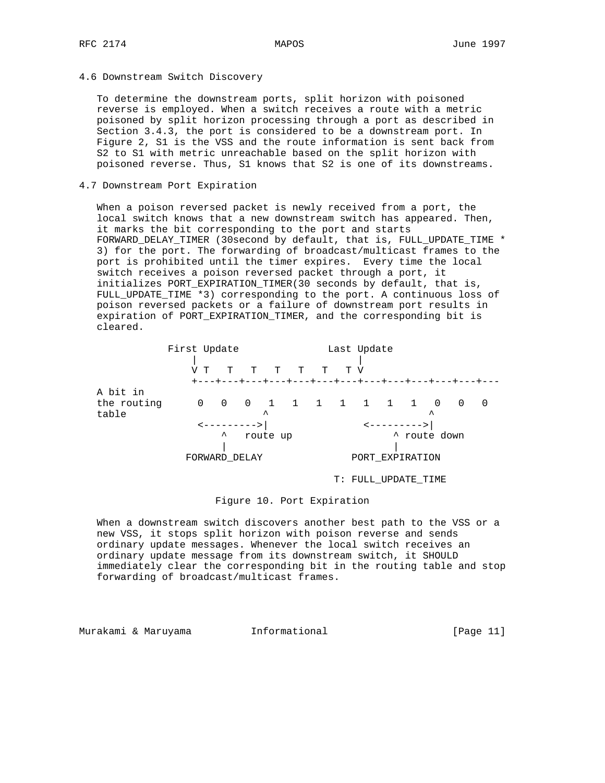4.6 Downstream Switch Discovery

 To determine the downstream ports, split horizon with poisoned reverse is employed. When a switch receives a route with a metric poisoned by split horizon processing through a port as described in Section 3.4.3, the port is considered to be a downstream port. In Figure 2, S1 is the VSS and the route information is sent back from S2 to S1 with metric unreachable based on the split horizon with poisoned reverse. Thus, S1 knows that S2 is one of its downstreams.

### 4.7 Downstream Port Expiration

 When a poison reversed packet is newly received from a port, the local switch knows that a new downstream switch has appeared. Then, it marks the bit corresponding to the port and starts FORWARD\_DELAY\_TIMER (30second by default, that is, FULL\_UPDATE\_TIME \* 3) for the port. The forwarding of broadcast/multicast frames to the port is prohibited until the timer expires. Every time the local switch receives a poison reversed packet through a port, it initializes PORT\_EXPIRATION\_TIMER(30 seconds by default, that is, FULL\_UPDATE\_TIME \*3) corresponding to the port. A continuous loss of poison reversed packets or a failure of downstream port results in expiration of PORT\_EXPIRATION\_TIMER, and the corresponding bit is cleared.

|                                  | First Update | T.                                | T | T                                                                                        | T T | T V | Last Update     |                          |                                  |          |   |
|----------------------------------|--------------|-----------------------------------|---|------------------------------------------------------------------------------------------|-----|-----|-----------------|--------------------------|----------------------------------|----------|---|
| A bit in<br>the routing<br>table | 0            | <---------><br>ᄉ<br>FORWARD DELAY |   | +---+---+---+---+---+---+---+---+---+---+---+---<br>0 0 1 1 1 1 1 1 1 1<br>ᄉ<br>route up |     |     | PORT EXPIRATION | <b>&lt;---------&gt;</b> | $\mathbf 0$<br>ᄉ<br>A route down | $\Omega$ | 0 |

## T: FULL\_UPDATE\_TIME

# Figure 10. Port Expiration

 When a downstream switch discovers another best path to the VSS or a new VSS, it stops split horizon with poison reverse and sends ordinary update messages. Whenever the local switch receives an ordinary update message from its downstream switch, it SHOULD immediately clear the corresponding bit in the routing table and stop forwarding of broadcast/multicast frames.

Murakami & Maruyama Informational [Page 11]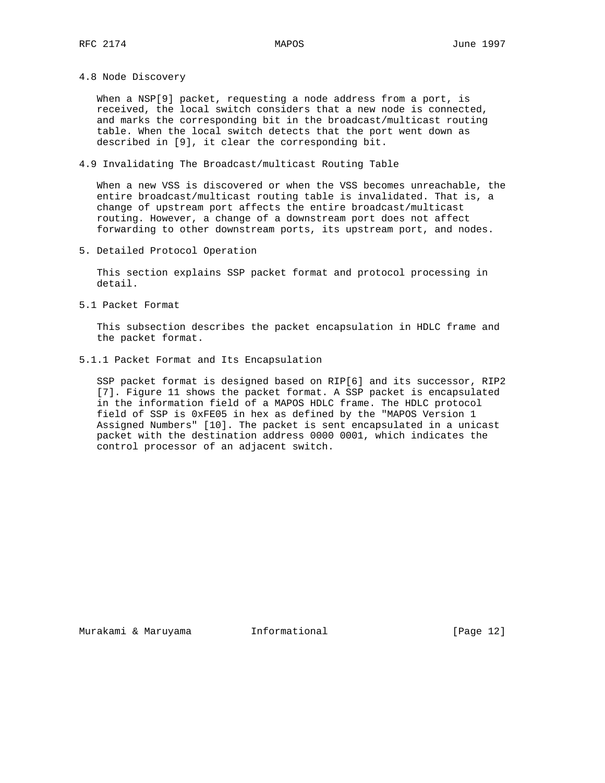4.8 Node Discovery

When a NSP[9] packet, requesting a node address from a port, is received, the local switch considers that a new node is connected, and marks the corresponding bit in the broadcast/multicast routing table. When the local switch detects that the port went down as described in [9], it clear the corresponding bit.

4.9 Invalidating The Broadcast/multicast Routing Table

 When a new VSS is discovered or when the VSS becomes unreachable, the entire broadcast/multicast routing table is invalidated. That is, a change of upstream port affects the entire broadcast/multicast routing. However, a change of a downstream port does not affect forwarding to other downstream ports, its upstream port, and nodes.

5. Detailed Protocol Operation

 This section explains SSP packet format and protocol processing in detail.

5.1 Packet Format

 This subsection describes the packet encapsulation in HDLC frame and the packet format.

5.1.1 Packet Format and Its Encapsulation

 SSP packet format is designed based on RIP[6] and its successor, RIP2 [7]. Figure 11 shows the packet format. A SSP packet is encapsulated in the information field of a MAPOS HDLC frame. The HDLC protocol field of SSP is 0xFE05 in hex as defined by the "MAPOS Version 1 Assigned Numbers" [10]. The packet is sent encapsulated in a unicast packet with the destination address 0000 0001, which indicates the control processor of an adjacent switch.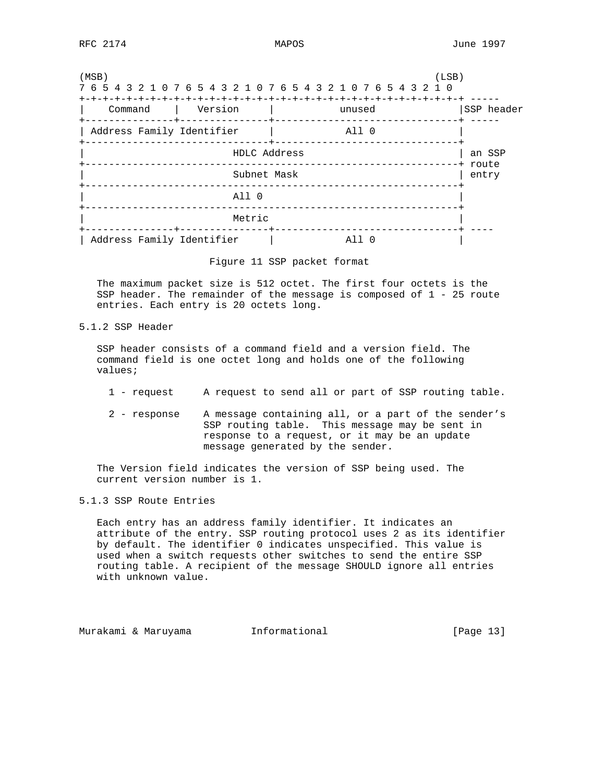| (MSB)                              |                           | (LSB)<br>7 6 5 4 3 2 1 0 7 6 5 4 3 2 1 0 7 6 5 4 3 2 1 0 7 6 5 4 3 2 1 0 |                   |  |  |  |  |  |
|------------------------------------|---------------------------|--------------------------------------------------------------------------|-------------------|--|--|--|--|--|
| Command<br>------+-----            | Version                   | unused                                                                   | SSP header        |  |  |  |  |  |
| Address Family Identifier          |                           | All O                                                                    |                   |  |  |  |  |  |
| -----+------------<br>HDLC Address |                           |                                                                          |                   |  |  |  |  |  |
|                                    | Subnet Mask               |                                                                          | -+ route<br>entry |  |  |  |  |  |
|                                    | A11 0                     |                                                                          |                   |  |  |  |  |  |
|                                    | Metric<br>------+-------- |                                                                          |                   |  |  |  |  |  |
| Address Family Identifier          |                           | A 1 1                                                                    |                   |  |  |  |  |  |

Figure 11 SSP packet format

 The maximum packet size is 512 octet. The first four octets is the SSP header. The remainder of the message is composed of 1 - 25 route entries. Each entry is 20 octets long.

5.1.2 SSP Header

 SSP header consists of a command field and a version field. The command field is one octet long and holds one of the following values;

- 1 request A request to send all or part of SSP routing table.
- 2 response A message containing all, or a part of the sender's SSP routing table. This message may be sent in response to a request, or it may be an update message generated by the sender.

 The Version field indicates the version of SSP being used. The current version number is 1.

## 5.1.3 SSP Route Entries

 Each entry has an address family identifier. It indicates an attribute of the entry. SSP routing protocol uses 2 as its identifier by default. The identifier 0 indicates unspecified. This value is used when a switch requests other switches to send the entire SSP routing table. A recipient of the message SHOULD ignore all entries with unknown value.

Murakami & Maruyama Informational [Page 13]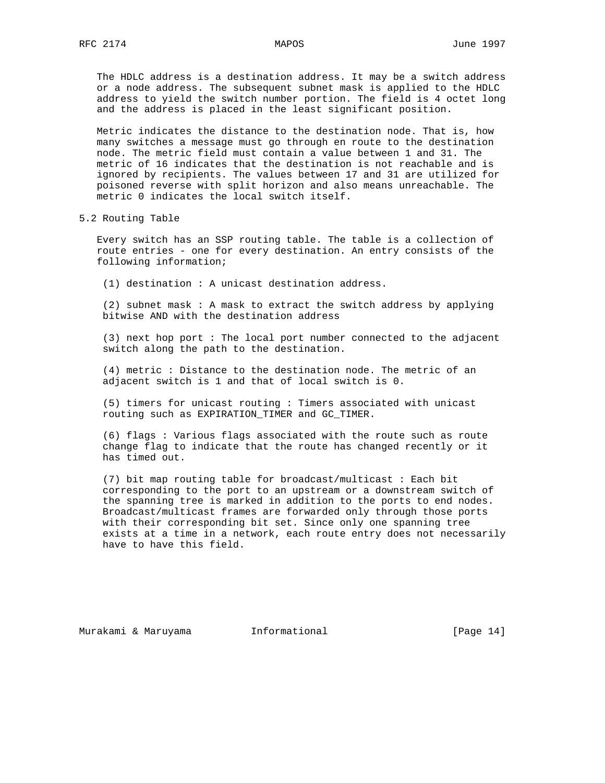The HDLC address is a destination address. It may be a switch address or a node address. The subsequent subnet mask is applied to the HDLC address to yield the switch number portion. The field is 4 octet long and the address is placed in the least significant position.

 Metric indicates the distance to the destination node. That is, how many switches a message must go through en route to the destination node. The metric field must contain a value between 1 and 31. The metric of 16 indicates that the destination is not reachable and is ignored by recipients. The values between 17 and 31 are utilized for poisoned reverse with split horizon and also means unreachable. The metric 0 indicates the local switch itself.

5.2 Routing Table

 Every switch has an SSP routing table. The table is a collection of route entries - one for every destination. An entry consists of the following information;

(1) destination : A unicast destination address.

 (2) subnet mask : A mask to extract the switch address by applying bitwise AND with the destination address

 (3) next hop port : The local port number connected to the adjacent switch along the path to the destination.

 (4) metric : Distance to the destination node. The metric of an adjacent switch is 1 and that of local switch is 0.

 (5) timers for unicast routing : Timers associated with unicast routing such as EXPIRATION\_TIMER and GC\_TIMER.

 (6) flags : Various flags associated with the route such as route change flag to indicate that the route has changed recently or it has timed out.

 (7) bit map routing table for broadcast/multicast : Each bit corresponding to the port to an upstream or a downstream switch of the spanning tree is marked in addition to the ports to end nodes. Broadcast/multicast frames are forwarded only through those ports with their corresponding bit set. Since only one spanning tree exists at a time in a network, each route entry does not necessarily have to have this field.

Murakami & Maruyama  $I_n$ Informational [Page 14]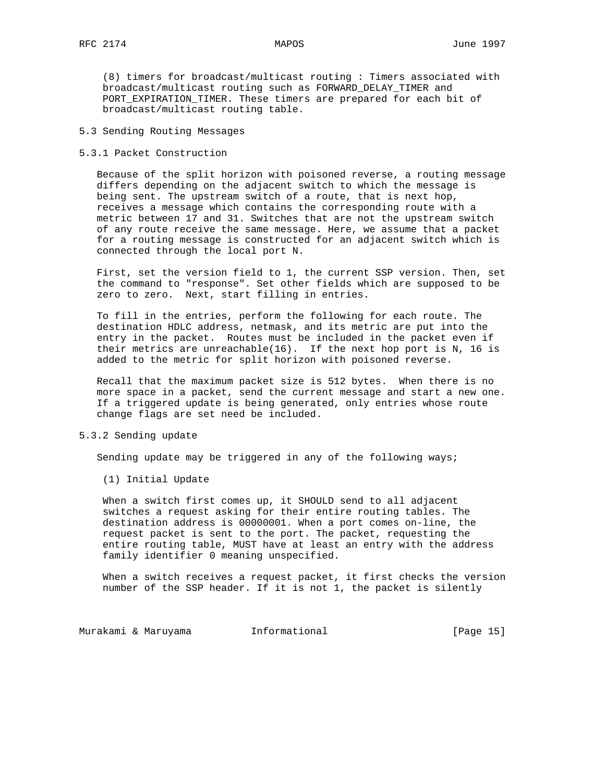(8) timers for broadcast/multicast routing : Timers associated with broadcast/multicast routing such as FORWARD\_DELAY\_TIMER and PORT\_EXPIRATION\_TIMER. These timers are prepared for each bit of broadcast/multicast routing table.

# 5.3 Sending Routing Messages

5.3.1 Packet Construction

 Because of the split horizon with poisoned reverse, a routing message differs depending on the adjacent switch to which the message is being sent. The upstream switch of a route, that is next hop, receives a message which contains the corresponding route with a metric between 17 and 31. Switches that are not the upstream switch of any route receive the same message. Here, we assume that a packet for a routing message is constructed for an adjacent switch which is connected through the local port N.

 First, set the version field to 1, the current SSP version. Then, set the command to "response". Set other fields which are supposed to be zero to zero. Next, start filling in entries.

 To fill in the entries, perform the following for each route. The destination HDLC address, netmask, and its metric are put into the entry in the packet. Routes must be included in the packet even if their metrics are unreachable(16). If the next hop port is N, 16 is added to the metric for split horizon with poisoned reverse.

 Recall that the maximum packet size is 512 bytes. When there is no more space in a packet, send the current message and start a new one. If a triggered update is being generated, only entries whose route change flags are set need be included.

# 5.3.2 Sending update

Sending update may be triggered in any of the following ways;

(1) Initial Update

 When a switch first comes up, it SHOULD send to all adjacent switches a request asking for their entire routing tables. The destination address is 00000001. When a port comes on-line, the request packet is sent to the port. The packet, requesting the entire routing table, MUST have at least an entry with the address family identifier 0 meaning unspecified.

 When a switch receives a request packet, it first checks the version number of the SSP header. If it is not 1, the packet is silently

Murakami & Maruyama  $I_n$ Informational (Page 15)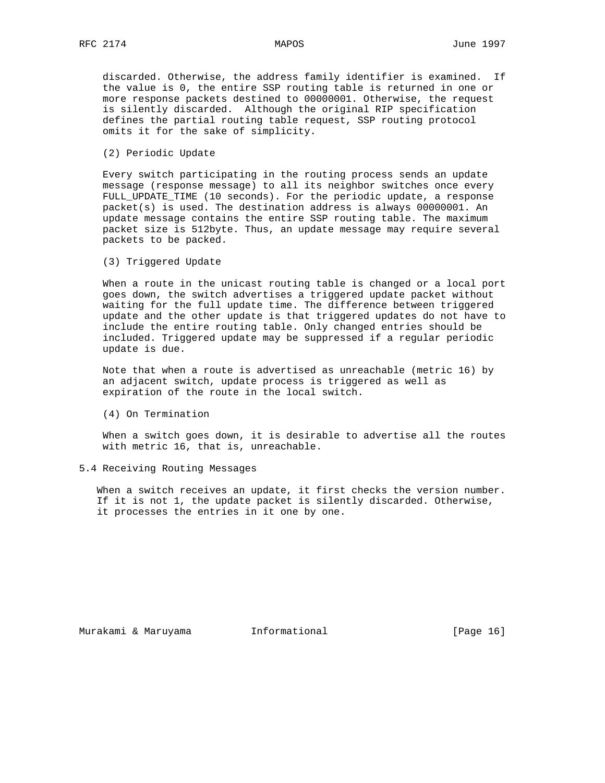discarded. Otherwise, the address family identifier is examined. If the value is 0, the entire SSP routing table is returned in one or more response packets destined to 00000001. Otherwise, the request is silently discarded. Although the original RIP specification defines the partial routing table request, SSP routing protocol omits it for the sake of simplicity.

(2) Periodic Update

 Every switch participating in the routing process sends an update message (response message) to all its neighbor switches once every FULL\_UPDATE\_TIME (10 seconds). For the periodic update, a response packet(s) is used. The destination address is always 00000001. An update message contains the entire SSP routing table. The maximum packet size is 512byte. Thus, an update message may require several packets to be packed.

(3) Triggered Update

 When a route in the unicast routing table is changed or a local port goes down, the switch advertises a triggered update packet without waiting for the full update time. The difference between triggered update and the other update is that triggered updates do not have to include the entire routing table. Only changed entries should be included. Triggered update may be suppressed if a regular periodic update is due.

 Note that when a route is advertised as unreachable (metric 16) by an adjacent switch, update process is triggered as well as expiration of the route in the local switch.

(4) On Termination

 When a switch goes down, it is desirable to advertise all the routes with metric 16, that is, unreachable.

## 5.4 Receiving Routing Messages

When a switch receives an update, it first checks the version number. If it is not 1, the update packet is silently discarded. Otherwise, it processes the entries in it one by one.

Murakami & Maruyama  $I_n$ Informational [Page 16]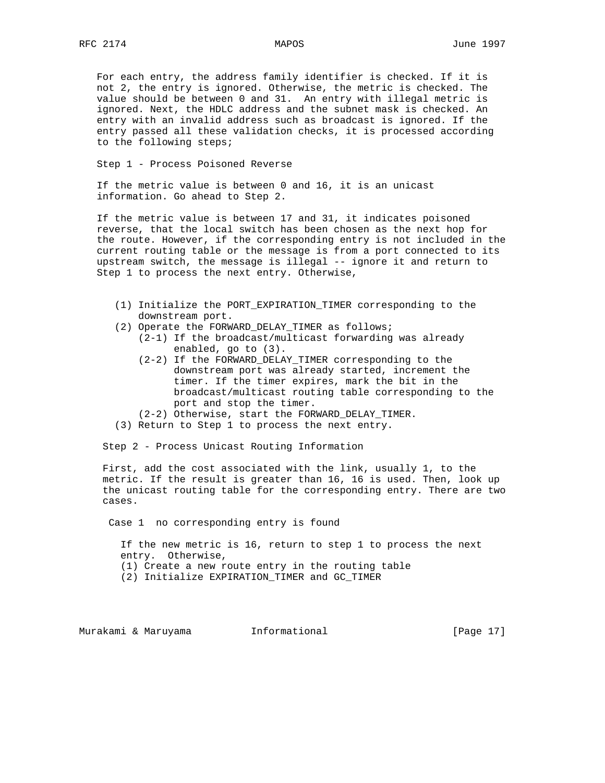For each entry, the address family identifier is checked. If it is not 2, the entry is ignored. Otherwise, the metric is checked. The value should be between 0 and 31. An entry with illegal metric is ignored. Next, the HDLC address and the subnet mask is checked. An entry with an invalid address such as broadcast is ignored. If the entry passed all these validation checks, it is processed according to the following steps;

Step 1 - Process Poisoned Reverse

 If the metric value is between 0 and 16, it is an unicast information. Go ahead to Step 2.

 If the metric value is between 17 and 31, it indicates poisoned reverse, that the local switch has been chosen as the next hop for the route. However, if the corresponding entry is not included in the current routing table or the message is from a port connected to its upstream switch, the message is illegal -- ignore it and return to Step 1 to process the next entry. Otherwise,

- (1) Initialize the PORT\_EXPIRATION\_TIMER corresponding to the downstream port.
- (2) Operate the FORWARD\_DELAY\_TIMER as follows;
	- (2-1) If the broadcast/multicast forwarding was already enabled, go to (3).
	- (2-2) If the FORWARD\_DELAY\_TIMER corresponding to the downstream port was already started, increment the timer. If the timer expires, mark the bit in the broadcast/multicast routing table corresponding to the port and stop the timer.
	- (2-2) Otherwise, start the FORWARD\_DELAY\_TIMER.
- (3) Return to Step 1 to process the next entry.

Step 2 - Process Unicast Routing Information

 First, add the cost associated with the link, usually 1, to the metric. If the result is greater than 16, 16 is used. Then, look up the unicast routing table for the corresponding entry. There are two cases.

Case 1 no corresponding entry is found

 If the new metric is 16, return to step 1 to process the next entry. Otherwise,

(1) Create a new route entry in the routing table

(2) Initialize EXPIRATION\_TIMER and GC\_TIMER

Murakami & Maruyama Informational [Page 17]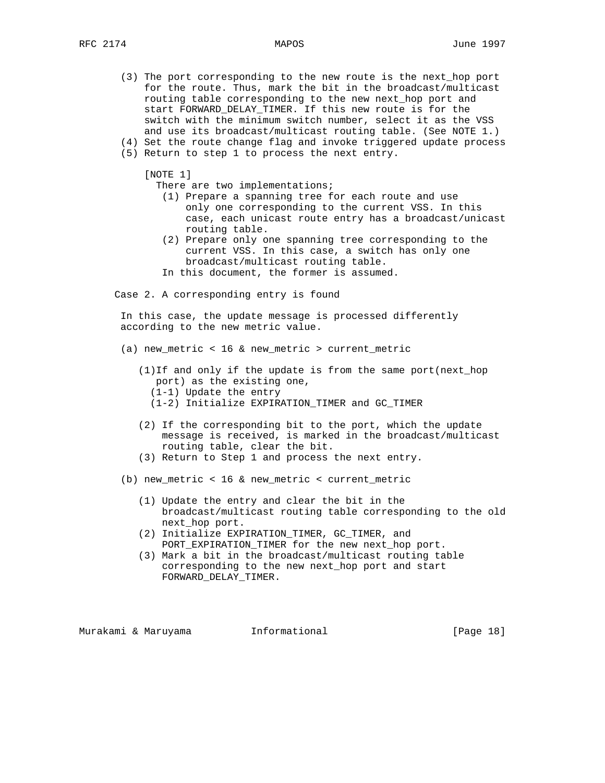- (3) The port corresponding to the new route is the next\_hop port for the route. Thus, mark the bit in the broadcast/multicast routing table corresponding to the new next\_hop port and start FORWARD\_DELAY\_TIMER. If this new route is for the switch with the minimum switch number, select it as the VSS and use its broadcast/multicast routing table. (See NOTE 1.)
- (4) Set the route change flag and invoke triggered update process (5) Return to step 1 to process the next entry.

[NOTE 1]

There are two implementations;

- (1) Prepare a spanning tree for each route and use only one corresponding to the current VSS. In this case, each unicast route entry has a broadcast/unicast routing table.
- (2) Prepare only one spanning tree corresponding to the current VSS. In this case, a switch has only one broadcast/multicast routing table.
- In this document, the former is assumed.

Case 2. A corresponding entry is found

 In this case, the update message is processed differently according to the new metric value.

- (a) new\_metric < 16 & new\_metric > current\_metric
	- (1)If and only if the update is from the same port(next\_hop port) as the existing one, (1-1) Update the entry
		- (1-2) Initialize EXPIRATION\_TIMER and GC\_TIMER
	- (2) If the corresponding bit to the port, which the update message is received, is marked in the broadcast/multicast routing table, clear the bit.
	- (3) Return to Step 1 and process the next entry.

(b) new\_metric < 16 & new\_metric < current\_metric

- (1) Update the entry and clear the bit in the broadcast/multicast routing table corresponding to the old next\_hop port.
- (2) Initialize EXPIRATION\_TIMER, GC\_TIMER, and PORT\_EXPIRATION\_TIMER for the new next\_hop port.
- (3) Mark a bit in the broadcast/multicast routing table corresponding to the new next\_hop port and start FORWARD\_DELAY\_TIMER.

Murakami & Maruyama Informational [Page 18]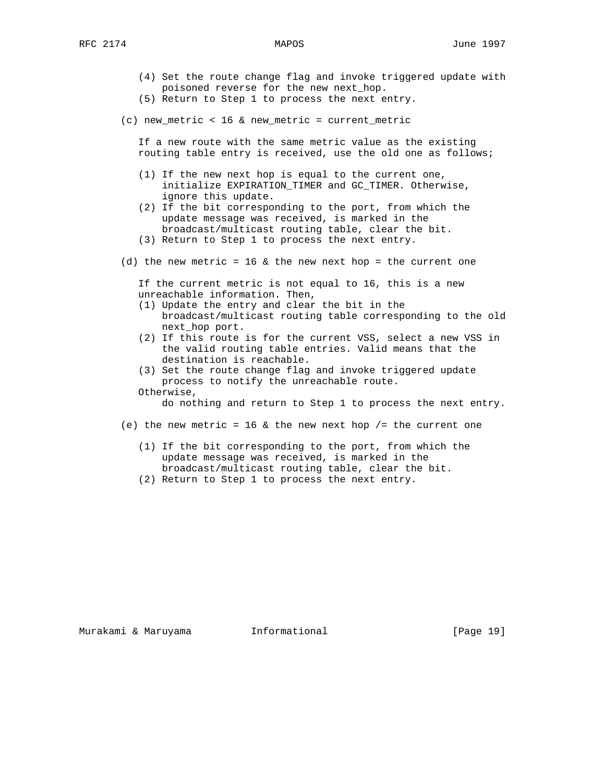- (4) Set the route change flag and invoke triggered update with poisoned reverse for the new next\_hop.
- (5) Return to Step 1 to process the next entry.
- (c) new\_metric < 16 & new\_metric = current\_metric

 If a new route with the same metric value as the existing routing table entry is received, use the old one as follows;

- (1) If the new next hop is equal to the current one, initialize EXPIRATION\_TIMER and GC\_TIMER. Otherwise, ignore this update.
- (2) If the bit corresponding to the port, from which the update message was received, is marked in the broadcast/multicast routing table, clear the bit.
- (3) Return to Step 1 to process the next entry.
- (d) the new metric =  $16$  & the new next hop = the current one

 If the current metric is not equal to 16, this is a new unreachable information. Then,

- (1) Update the entry and clear the bit in the broadcast/multicast routing table corresponding to the old next\_hop port.
- (2) If this route is for the current VSS, select a new VSS in the valid routing table entries. Valid means that the destination is reachable.
- (3) Set the route change flag and invoke triggered update process to notify the unreachable route.
- Otherwise,

do nothing and return to Step 1 to process the next entry.

- (e) the new metric = 16  $\&$  the new next hop /= the current one
	- (1) If the bit corresponding to the port, from which the update message was received, is marked in the broadcast/multicast routing table, clear the bit.
	- (2) Return to Step 1 to process the next entry.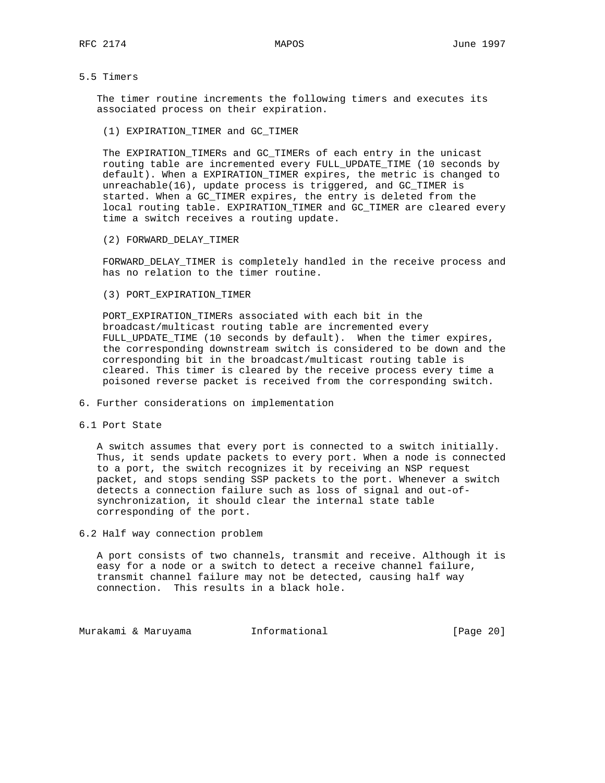# 5.5 Timers

 The timer routine increments the following timers and executes its associated process on their expiration.

(1) EXPIRATION\_TIMER and GC\_TIMER

 The EXPIRATION\_TIMERs and GC\_TIMERs of each entry in the unicast routing table are incremented every FULL\_UPDATE\_TIME (10 seconds by default). When a EXPIRATION\_TIMER expires, the metric is changed to unreachable(16), update process is triggered, and GC\_TIMER is started. When a GC\_TIMER expires, the entry is deleted from the local routing table. EXPIRATION\_TIMER and GC\_TIMER are cleared every time a switch receives a routing update.

(2) FORWARD\_DELAY\_TIMER

 FORWARD\_DELAY\_TIMER is completely handled in the receive process and has no relation to the timer routine.

(3) PORT\_EXPIRATION\_TIMER

 PORT\_EXPIRATION\_TIMERs associated with each bit in the broadcast/multicast routing table are incremented every FULL\_UPDATE\_TIME (10 seconds by default). When the timer expires, the corresponding downstream switch is considered to be down and the corresponding bit in the broadcast/multicast routing table is cleared. This timer is cleared by the receive process every time a poisoned reverse packet is received from the corresponding switch.

- 6. Further considerations on implementation
- 6.1 Port State

 A switch assumes that every port is connected to a switch initially. Thus, it sends update packets to every port. When a node is connected to a port, the switch recognizes it by receiving an NSP request packet, and stops sending SSP packets to the port. Whenever a switch detects a connection failure such as loss of signal and out-of synchronization, it should clear the internal state table corresponding of the port.

6.2 Half way connection problem

 A port consists of two channels, transmit and receive. Although it is easy for a node or a switch to detect a receive channel failure, transmit channel failure may not be detected, causing half way connection. This results in a black hole.

Murakami & Maruyama  $I_n$ Informational (Page 20)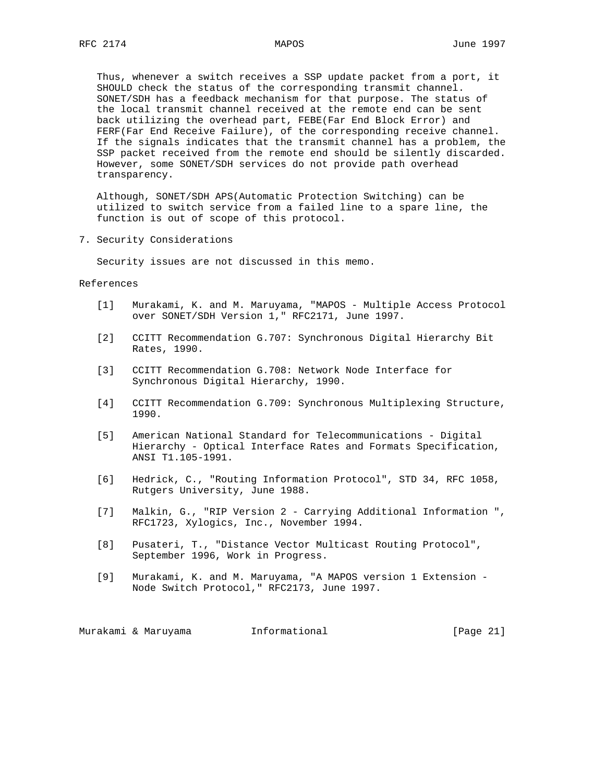Thus, whenever a switch receives a SSP update packet from a port, it SHOULD check the status of the corresponding transmit channel. SONET/SDH has a feedback mechanism for that purpose. The status of the local transmit channel received at the remote end can be sent back utilizing the overhead part, FEBE(Far End Block Error) and FERF(Far End Receive Failure), of the corresponding receive channel. If the signals indicates that the transmit channel has a problem, the SSP packet received from the remote end should be silently discarded. However, some SONET/SDH services do not provide path overhead transparency.

 Although, SONET/SDH APS(Automatic Protection Switching) can be utilized to switch service from a failed line to a spare line, the function is out of scope of this protocol.

7. Security Considerations

Security issues are not discussed in this memo.

#### References

- [1] Murakami, K. and M. Maruyama, "MAPOS Multiple Access Protocol over SONET/SDH Version 1," RFC2171, June 1997.
- [2] CCITT Recommendation G.707: Synchronous Digital Hierarchy Bit Rates, 1990.
- [3] CCITT Recommendation G.708: Network Node Interface for Synchronous Digital Hierarchy, 1990.
- [4] CCITT Recommendation G.709: Synchronous Multiplexing Structure, 1990.
- [5] American National Standard for Telecommunications Digital Hierarchy - Optical Interface Rates and Formats Specification, ANSI T1.105-1991.
- [6] Hedrick, C., "Routing Information Protocol", STD 34, RFC 1058, Rutgers University, June 1988.
- [7] Malkin, G., "RIP Version 2 Carrying Additional Information ", RFC1723, Xylogics, Inc., November 1994.
- [8] Pusateri, T., "Distance Vector Multicast Routing Protocol", September 1996, Work in Progress.
- [9] Murakami, K. and M. Maruyama, "A MAPOS version 1 Extension Node Switch Protocol," RFC2173, June 1997.

Murakami & Maruyama  $I_n$ Informational (Page 21)